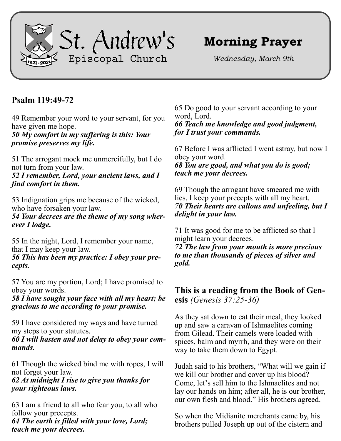

# **Morning Prayer**

*Wednesday, March 9th*

## **Psalm 119:49-72**

49 Remember your word to your servant, for you have given me hope. *50 My comfort in my suffering is this: Your* 

*promise preserves my life.*

51 The arrogant mock me unmercifully, but I do not turn from your law.

*52 I remember, Lord, your ancient laws, and I find comfort in them.*

53 Indignation grips me because of the wicked, who have forsaken your law.

*54 Your decrees are the theme of my song wherever I lodge.*

55 In the night, Lord, I remember your name, that I may keep your law.

*56 This has been my practice: I obey your precepts.*

57 You are my portion, Lord; I have promised to obey your words.

*58 I have sought your face with all my heart; be gracious to me according to your promise.*

59 I have considered my ways and have turned my steps to your statutes.

*60 I will hasten and not delay to obey your commands.*

61 Though the wicked bind me with ropes, I will not forget your law.

#### *62 At midnight I rise to give you thanks for your righteous laws.*

63 I am a friend to all who fear you, to all who follow your precepts. *64 The earth is filled with your love, Lord; teach me your decrees.*

65 Do good to your servant according to your word, Lord. *66 Teach me knowledge and good judgment, for I trust your commands.*

67 Before I was afflicted I went astray, but now I obey your word. *68 You are good, and what you do is good; teach me your decrees.*

69 Though the arrogant have smeared me with lies, I keep your precepts with all my heart. *70 Their hearts are callous and unfeeling, but I delight in your law.*

71 It was good for me to be afflicted so that I might learn your decrees.

*72 The law from your mouth is more precious to me than thousands of pieces of silver and gold.*

## **This is a reading from the Book of Genesis** *(Genesis 37:25-36)*

As they sat down to eat their meal, they looked up and saw a caravan of Ishmaelites coming from Gilead. Their camels were loaded with spices, balm and myrrh, and they were on their way to take them down to Egypt.

Judah said to his brothers, "What will we gain if we kill our brother and cover up his blood? Come, let's sell him to the Ishmaelites and not lay our hands on him; after all, he is our brother, our own flesh and blood." His brothers agreed.

So when the Midianite merchants came by, his brothers pulled Joseph up out of the cistern and